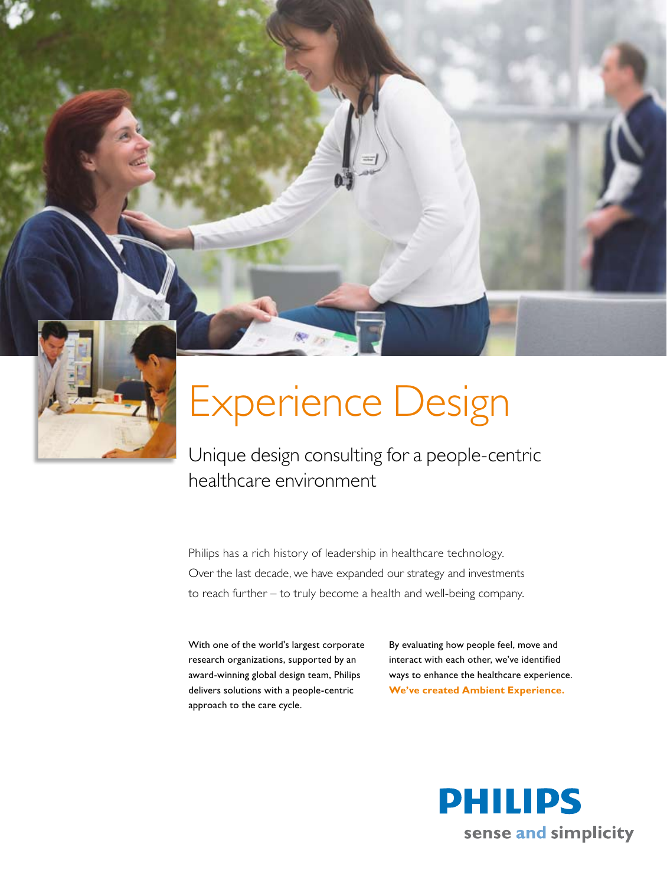

## Experience Design

Unique design consulting for a people-centric healthcare environment

Philips has a rich history of leadership in healthcare technology. Over the last decade, we have expanded our strategy and investments to reach further – to truly become a health and well-being company.

With one of the world's largest corporate research organizations, supported by an award-winning global design team, Philips delivers solutions with a people-centric approach to the care cycle.

By evaluating how people feel, move and interact with each other, we've identified ways to enhance the healthcare experience. **We've created Ambient Experience.**

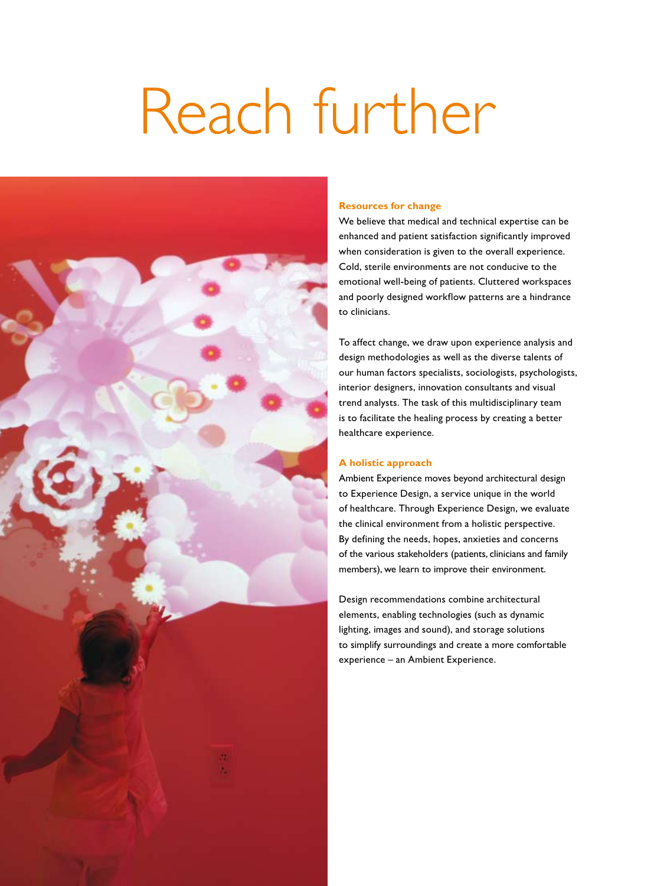# Reach further



### **Resources for change**

We believe that medical and technical expertise can be enhanced and patient satisfaction significantly improved when consideration is given to the overall experience. Cold, sterile environments are not conducive to the emotional well-being of patients. Cluttered workspaces and poorly designed workflow patterns are a hindrance to clinicians.

To affect change, we draw upon experience analysis and design methodologies as well as the diverse talents of our human factors specialists, sociologists, psychologists, interior designers, innovation consultants and visual trend analysts. The task of this multidisciplinary team is to facilitate the healing process by creating a better healthcare experience.

## **A holistic approach**

Ambient Experience moves beyond architectural design to Experience Design, a service unique in the world of healthcare. Through Experience Design, we evaluate the clinical environment from a holistic perspective. By defining the needs, hopes, anxieties and concerns of the various stakeholders (patients, clinicians and family members), we learn to improve their environment.

Design recommendations combine architectural elements, enabling technologies (such as dynamic lighting, images and sound), and storage solutions to simplify surroundings and create a more comfortable experience – an Ambient Experience.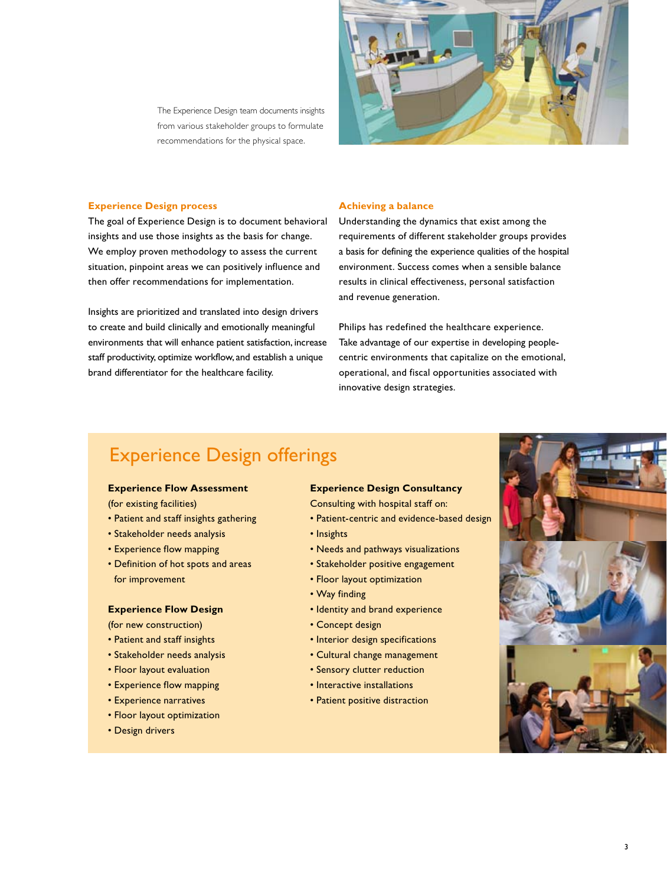

The Experience Design team documents insights from various stakeholder groups to formulate recommendations for the physical space.

## **Experience Design process**

The goal of Experience Design is to document behavioral insights and use those insights as the basis for change. We employ proven methodology to assess the current situation, pinpoint areas we can positively influence and then offer recommendations for implementation.

Insights are prioritized and translated into design drivers to create and build clinically and emotionally meaningful environments that will enhance patient satisfaction, increase staff productivity, optimize workflow, and establish a unique brand differentiator for the healthcare facility.

#### **Achieving a balance**

Understanding the dynamics that exist among the requirements of different stakeholder groups provides a basis for defining the experience qualities of the hospital environment. Success comes when a sensible balance results in clinical effectiveness, personal satisfaction and revenue generation.

Philips has redefined the healthcare experience. Take advantage of our expertise in developing peoplecentric environments that capitalize on the emotional, operational, and fiscal opportunities associated with innovative design strategies.

## Experience Design offerings

## **Experience Flow Assessment**

(for existing facilities)

- • Patient and staff insights gathering
- • Stakeholder needs analysis
- Experience flow mapping
- Definition of hot spots and areas for improvement

## **Experience Flow Design**

(for new construction)

- • Patient and staff insights
- Stakeholder needs analysis
- Floor layout evaluation
- Experience flow mapping
- • Experience narratives
- • Floor layout optimization
- • Design drivers

## **Experience Design Consultancy**

Consulting with hospital staff on:

- Patient-centric and evidence-based design
- • Insights
- • Needs and pathways visualizations
- Stakeholder positive engagement
- • Floor layout optimization
- • Way finding
- Identity and brand experience
- • Concept design
- Interior design specifications
- • Cultural change management
- • Sensory clutter reduction
- Interactive installations
- Patient positive distraction